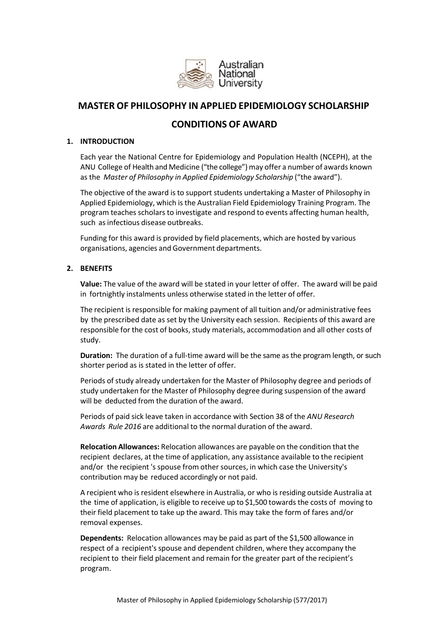

# **MASTER OF PHILOSOPHY IN APPLIED EPIDEMIOLOGY SCHOLARSHIP**

# **CONDITIONS OF AWARD**

#### **1. INTRODUCTION**

Each year the National Centre for Epidemiology and Population Health (NCEPH), at the ANU College of Health and Medicine ("the college") may offer a number of awards known as the *Master of Philosophy in Applied Epidemiology Scholarship* ("the award").

The objective of the award is to support students undertaking a Master of Philosophy in Applied Epidemiology, which isthe Australian Field Epidemiology Training Program. The program teaches scholars to investigate and respond to events affecting human health, such as infectious disease outbreaks.

Funding for this award is provided by field placements, which are hosted by various organisations, agencies and Government departments.

# **2. BENEFITS**

**Value:** The value of the award will be stated in your letter of offer. The award will be paid in fortnightly instalments unless otherwise stated in the letter of offer.

The recipient is responsible for making payment of all tuition and/or administrative fees by the prescribed date as set by the University each session. Recipients of this award are responsible for the cost of books, study materials, accommodation and all other costs of study.

**Duration:** The duration of a full-time award will be the same as the program length, or such shorter period as is stated in the letter of offer.

Periods of study already undertaken for the Master of Philosophy degree and periods of study undertaken for the Master of Philosophy degree during suspension of the award will be deducted from the duration of the award.

Periods of paid sick leave taken in accordance with Section 38 of the *ANU Research Awards Rule 2016* are additional to the normal duration of the award.

**Relocation Allowances:** Relocation allowances are payable on the condition that the recipient declares, at the time of application, any assistance available to the recipient and/or the recipient 's spouse from other sources, in which case the University's contribution may be reduced accordingly or not paid.

A recipient who is resident elsewhere in Australia, or who is residing outside Australia at the time of application, is eligible to receive up to \$1,500 towards the costs of moving to their field placement to take up the award. This may take the form of fares and/or removal expenses.

**Dependents:** Relocation allowances may be paid as part of the \$1,500 allowance in respect of a recipient's spouse and dependent children, where they accompany the recipient to their field placement and remain for the greater part of the recipient's program.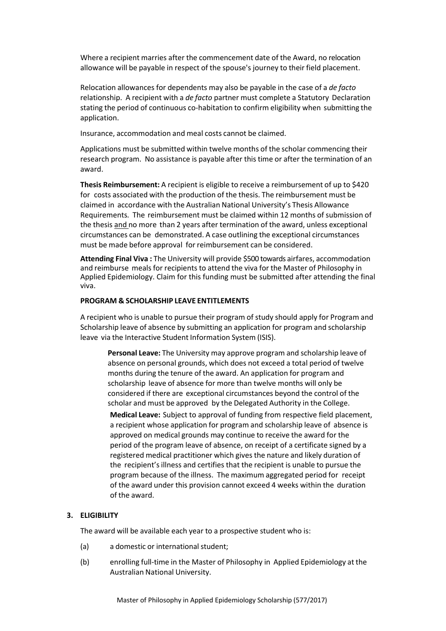Where a recipient marries after the commencement date of the Award, no relocation allowance will be payable in respect of the spouse's journey to their field placement.

Relocation allowances for dependents may also be payable in the case of a *de facto* relationship. A recipient with a *de facto* partner must complete a Statutory Declaration stating the period of continuous co-habitation to confirm eligibility when submitting the application.

Insurance, accommodation and meal costs cannot be claimed.

Applications must be submitted within twelve months of the scholar commencing their research program. No assistance is payable after this time or after the termination of an award.

**Thesis Reimbursement:** A recipient is eligible to receive a reimbursement of up to \$420 for costs associated with the production of the thesis. The reimbursement must be claimed in accordance with the Australian National University's Thesis Allowance Requirements*.* The reimbursement must be claimed within 12 months of submission of the thesis and no more than 2 years after termination of the award, unless exceptional circumstances can be demonstrated. A case outlining the exceptional circumstances must be made before approval for reimbursement can be considered.

**Attending Final Viva :** The University will provide \$500 towards airfares, accommodation and reimburse meals for recipients to attend the viva for the Master of Philosophy in Applied Epidemiology. Claim for this funding must be submitted after attending the final viva.

#### **PROGRAM & SCHOLARSHIP LEAVE ENTITLEMENTS**

A recipient who is unable to pursue their program of study should apply for Program and Scholarship leave of absence by submitting an application for program and scholarship leave via the Interactive Student Information System (ISIS).

**Personal Leave:** The University may approve program and scholarship leave of absence on personal grounds, which does not exceed a total period of twelve months during the tenure of the award. An application for program and scholarship leave of absence for more than twelve months will only be considered if there are exceptional circumstances beyond the control of the scholar and must be approved by the Delegated Authority in the College.

**Medical Leave:** Subject to approval of funding from respective field placement, a recipient whose application for program and scholarship leave of absence is approved on medical grounds may continue to receive the award for the period of the program leave of absence, on receipt of a certificate signed by a registered medical practitioner which gives the nature and likely duration of the recipient's illness and certifies that the recipient is unable to pursue the program because of the illness. The maximum aggregated period for receipt of the award under this provision cannot exceed 4 weeks within the duration of the award.

# **3. ELIGIBILITY**

The award will be available each year to a prospective student who is:

- (a) a domestic or international student:
- (b) enrolling full‐time in the Master of Philosophy in Applied Epidemiology at the Australian National University.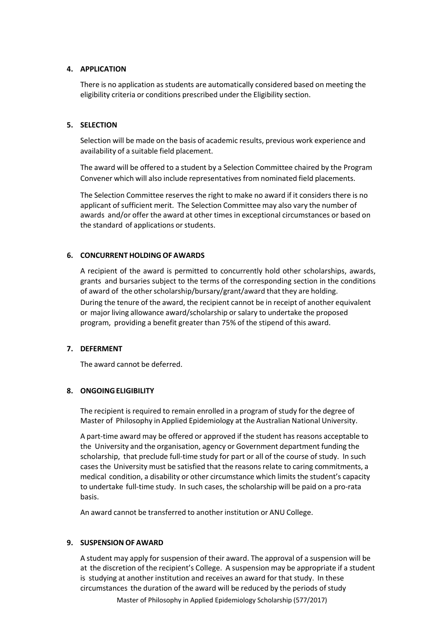# **4. APPLICATION**

There is no application as students are automatically considered based on meeting the eligibility criteria or conditions prescribed under the Eligibility section.

# **5. SELECTION**

Selection will be made on the basis of academic results, previous work experience and availability of a suitable field placement.

The award will be offered to a student by a Selection Committee chaired by the Program Convener which will also include representativesfrom nominated field placements.

The Selection Committee reserves the right to make no award if it considers there is no applicant of sufficient merit. The Selection Committee may also vary the number of awards and/or offer the award at other times in exceptional circumstances or based on the standard of applications or students.

# **6. CONCURRENT HOLDINGOF AWARDS**

A recipient of the award is permitted to concurrently hold other scholarships, awards, grants and bursaries subject to the terms of the corresponding section in the conditions of award of the other scholarship/bursary/grant/award that they are holding. During the tenure of the award, the recipient cannot be in receipt of another equivalent or major living allowance award/scholarship orsalary to undertake the proposed program, providing a benefit greater than 75% of the stipend of this award.

# **7. DEFERMENT**

The award cannot be deferred.

# **8. ONGOINGELIGIBILITY**

The recipient is required to remain enrolled in a program of study for the degree of Master of Philosophy in Applied Epidemiology at the Australian National University.

A part‐time award may be offered or approved if the student has reasons acceptable to the University and the organisation, agency or Government department funding the scholarship, that preclude full‐time study for part or all of the course of study. In such cases the University must be satisfied that the reasonsrelate to caring commitments, a medical condition, a disability or other circumstance which limits the student's capacity to undertake full-time study. In such cases, the scholarship will be paid on a pro-rata basis.

An award cannot be transferred to another institution or ANU College.

# **9. SUSPENSION OF AWARD**

A student may apply for suspension of their award. The approval of a suspension will be at the discretion of the recipient's College. A suspension may be appropriate if a student is studying at another institution and receives an award for that study. In these circumstances the duration of the award will be reduced by the periods of study

Master of Philosophy in Applied Epidemiology Scholarship (577/2017)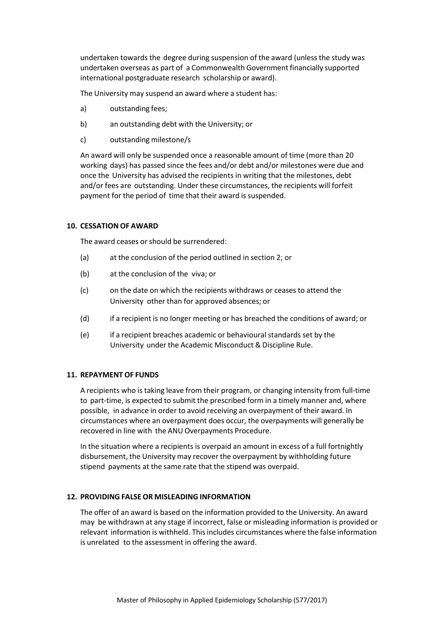undertaken towards the degree during suspension of the award (unless the study was undertaken overseas as part of a Commonwealth Government financially supported international postgraduate research scholarship or award).

The University may suspend an award where a student has:

- a) outstanding fees;
- b) an outstanding debt with the University; or
- c) outstanding milestone/s

An award will only be suspended once a reasonable amount of time (more than 20 working days) has passed since the fees and/or debt and/or milestones were due and once the University has advised the recipients in writing that the milestones, debt and/or fees are outstanding. Under these circumstances, the recipients will forfeit payment for the period of time that their award is suspended.

#### **10. CESSATION OF AWARD**

The award ceases or should be surrendered:

- (a) at the conclusion of the period outlined in section 2; or
- (b) at the conclusion of the viva; or
- (c) on the date on which the recipients withdraws or ceases to attend the University other than for approved absences; or
- (d) if a recipient is no longer meeting or has breached the conditions of award; or
- (e) if a recipient breaches academic or behavioural standards set by the University under the Academic Misconduct & Discipline Rule.

# **11. REPAYMENT OF FUNDS**

A recipients who is taking leave from their program, or changing intensity from full‐time to part-time, is expected to submit the prescribed form in a timely manner and, where possible, in advance in order to avoid receiving an overpayment of their award. In circumstances where an overpayment does occur, the overpayments will generally be recovered in line with the ANU Overpayments Procedure.

In the situation where a recipients is overpaid an amount in excess of a full fortnightly disbursement, the University may recover the overpayment by withholding future stipend payments at the same rate that the stipend was overpaid.

# **12. PROVIDING FALSEOR MISLEADING INFORMATION**

The offer of an award is based on the information provided to the University. An award may be withdrawn at any stage if incorrect, false or misleading information is provided or relevant information is withheld. This includes circumstances where the false information is unrelated to the assessment in offering the award.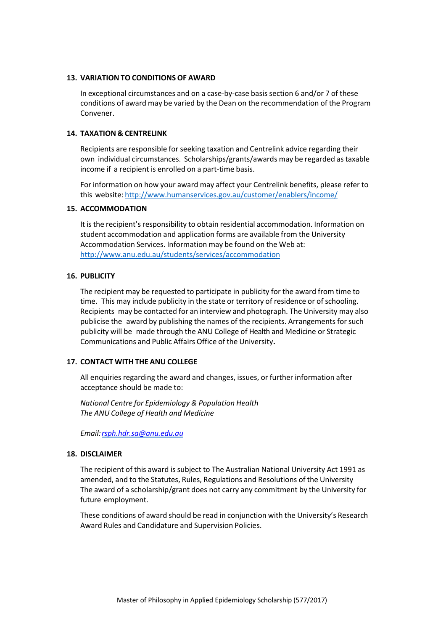#### **13. VARIATION TO CONDITIONS OF AWARD**

In exceptional circumstances and on a case‐by‐case basis section 6 and/or 7 of these conditions of award may be varied by the Dean on the recommendation of the Program Convener.

#### **14. TAXATION & CENTRELINK**

Recipients are responsible for seeking taxation and Centrelink advice regarding their own individual circumstances. Scholarships/grants/awards may be regarded astaxable income if a recipient is enrolled on a part‐time basis.

For information on how your award may affect your Centrelink benefits, please refer to this website: http://www.humanservices.gov.au/customer/enablers/income/

#### **15. ACCOMMODATION**

It is the recipient's responsibility to obtain residential accommodation. Information on student accommodation and application forms are available from the University Accommodation Services. Information may be found on the Web at: http://www.anu.edu.au/students/services/accommodation

#### **16. PUBLICITY**

The recipient may be requested to participate in publicity for the award from time to time. This may include publicity in the state or territory of residence or of schooling. Recipients may be contacted for an interview and photograph. The University may also publicise the award by publishing the names of the recipients. Arrangements forsuch publicity will be made through the ANU College of Health and Medicine or Strategic Communications and Public Affairs Office of the University**.**

#### **17. CONTACT WITH THE ANU COLLEGE**

All enquiries regarding the award and changes, issues, or further information after acceptance should be made to:

*National Centre for Epidemiology & Population Health The ANU College of Health and Medicine*

*Email:rsph.hdr.sa@anu.edu.au*

#### **18. DISCLAIMER**

The recipient of this award is subject to The Australian National University Act 1991 as amended, and to the Statutes, Rules, Regulations and Resolutions of the University The award of a scholarship/grant does not carry any commitment by the University for future employment.

These conditions of award should be read in conjunction with the University's Research Award Rules and Candidature and Supervision Policies.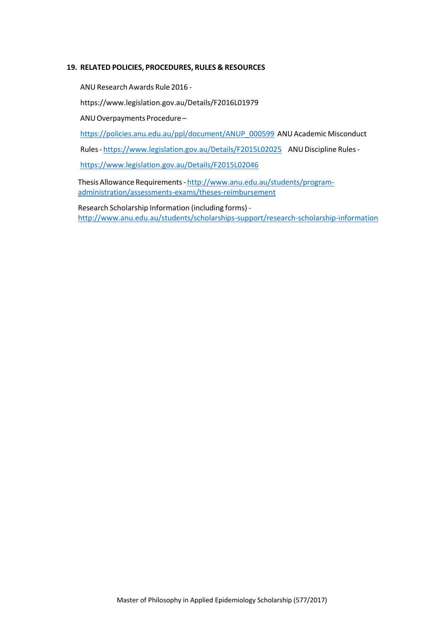#### **19. RELATED POLICIES, PROCEDURES, RULES & RESOURCES**

ANU Research Awards Rule 2016 ‐

https://www.legislation.gov.au/Details/F2016L01979

ANU Overpayments Procedure-

https://policies.anu.edu.au/ppl/document/ANUP\_000599\_ANU Academic Misconduct

Rules - https://www.legislation.gov.au/Details/F2015L02025 ANU Discipline Rules -

https://www.legislation.gov.au/Details/F2015L02046

Thesis Allowance Requirements ‐ http://www.anu.edu.au/students/program‐ administration/assessments‐exams/theses‐reimbursement

Research Scholarship Information (including forms) ‐ http://www.anu.edu.au/students/scholarships‐support/research‐scholarship‐information